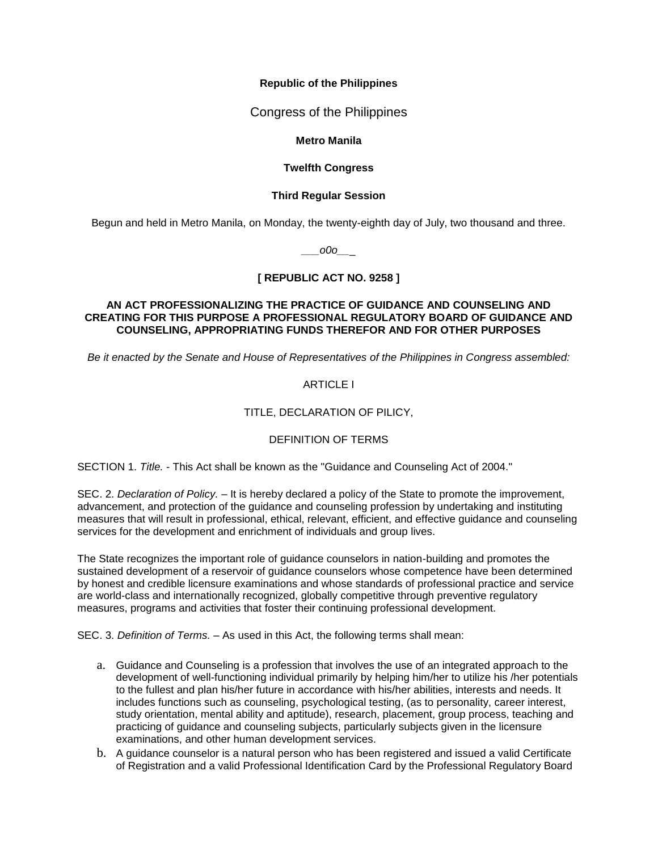### **Republic of the Philippines**

Congress of the Philippines

### **Metro Manila**

## **Twelfth Congress**

### **Third Regular Session**

Begun and held in Metro Manila, on Monday, the twenty-eighth day of July, two thousand and three.

*\_\_\_o0o\_\_*\_

# **[ REPUBLIC ACT NO. 9258 ]**

#### **AN ACT PROFESSIONALIZING THE PRACTICE OF GUIDANCE AND COUNSELING AND CREATING FOR THIS PURPOSE A PROFESSIONAL REGULATORY BOARD OF GUIDANCE AND COUNSELING, APPROPRIATING FUNDS THEREFOR AND FOR OTHER PURPOSES**

*Be it enacted by the Senate and House of Representatives of the Philippines in Congress assembled:*

# ARTICLE I

## TITLE, DECLARATION OF PILICY,

## DEFINITION OF TERMS

SECTION 1. *Title. -* This Act shall be known as the "Guidance and Counseling Act of 2004."

SEC. 2. *Declaration of Policy. –* It is hereby declared a policy of the State to promote the improvement, advancement, and protection of the guidance and counseling profession by undertaking and instituting measures that will result in professional, ethical, relevant, efficient, and effective guidance and counseling services for the development and enrichment of individuals and group lives.

The State recognizes the important role of guidance counselors in nation-building and promotes the sustained development of a reservoir of guidance counselors whose competence have been determined by honest and credible licensure examinations and whose standards of professional practice and service are world-class and internationally recognized, globally competitive through preventive regulatory measures, programs and activities that foster their continuing professional development.

SEC. 3. *Definition of Terms. –* As used in this Act, the following terms shall mean:

- a. Guidance and Counseling is a profession that involves the use of an integrated approach to the development of well-functioning individual primarily by helping him/her to utilize his /her potentials to the fullest and plan his/her future in accordance with his/her abilities, interests and needs. It includes functions such as counseling, psychological testing, (as to personality, career interest, study orientation, mental ability and aptitude), research, placement, group process, teaching and practicing of guidance and counseling subjects, particularly subjects given in the licensure examinations, and other human development services.
- b. A guidance counselor is a natural person who has been registered and issued a valid Certificate of Registration and a valid Professional Identification Card by the Professional Regulatory Board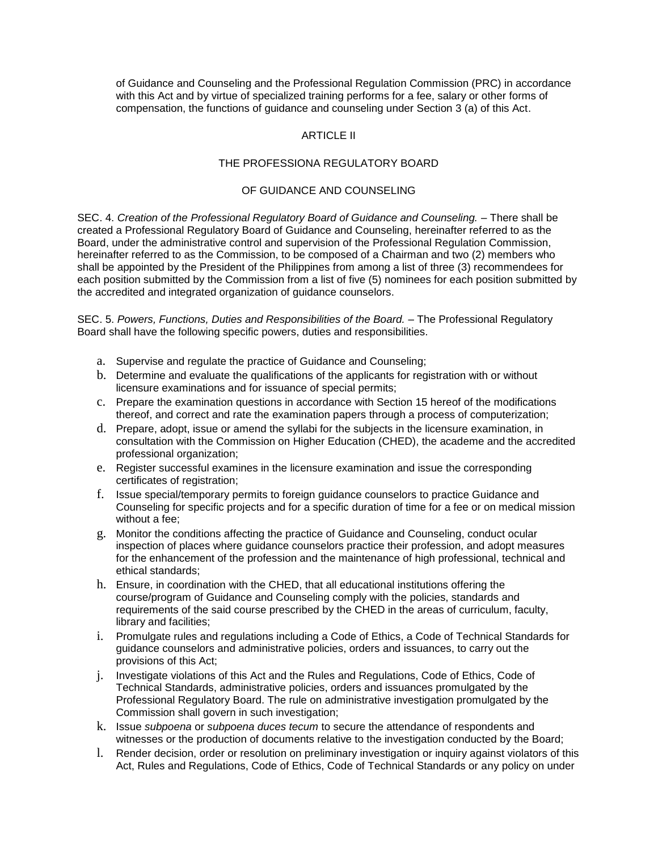of Guidance and Counseling and the Professional Regulation Commission (PRC) in accordance with this Act and by virtue of specialized training performs for a fee, salary or other forms of compensation, the functions of guidance and counseling under Section 3 (a) of this Act.

## ARTICLE II

#### THE PROFESSIONA REGULATORY BOARD

#### OF GUIDANCE AND COUNSELING

SEC. 4. *Creation of the Professional Regulatory Board of Guidance and Counseling. –* There shall be created a Professional Regulatory Board of Guidance and Counseling, hereinafter referred to as the Board, under the administrative control and supervision of the Professional Regulation Commission, hereinafter referred to as the Commission, to be composed of a Chairman and two (2) members who shall be appointed by the President of the Philippines from among a list of three (3) recommendees for each position submitted by the Commission from a list of five (5) nominees for each position submitted by the accredited and integrated organization of guidance counselors.

SEC. 5. *Powers, Functions, Duties and Responsibilities of the Board. –* The Professional Regulatory Board shall have the following specific powers, duties and responsibilities.

- a. Supervise and regulate the practice of Guidance and Counseling;
- b. Determine and evaluate the qualifications of the applicants for registration with or without licensure examinations and for issuance of special permits;
- c. Prepare the examination questions in accordance with Section 15 hereof of the modifications thereof, and correct and rate the examination papers through a process of computerization;
- d. Prepare, adopt, issue or amend the syllabi for the subjects in the licensure examination, in consultation with the Commission on Higher Education (CHED), the academe and the accredited professional organization;
- e. Register successful examines in the licensure examination and issue the corresponding certificates of registration;
- f. Issue special/temporary permits to foreign guidance counselors to practice Guidance and Counseling for specific projects and for a specific duration of time for a fee or on medical mission without a fee;
- g. Monitor the conditions affecting the practice of Guidance and Counseling, conduct ocular inspection of places where guidance counselors practice their profession, and adopt measures for the enhancement of the profession and the maintenance of high professional, technical and ethical standards;
- h. Ensure, in coordination with the CHED, that all educational institutions offering the course/program of Guidance and Counseling comply with the policies, standards and requirements of the said course prescribed by the CHED in the areas of curriculum, faculty, library and facilities;
- i. Promulgate rules and regulations including a Code of Ethics, a Code of Technical Standards for guidance counselors and administrative policies, orders and issuances, to carry out the provisions of this Act;
- j. Investigate violations of this Act and the Rules and Regulations, Code of Ethics, Code of Technical Standards, administrative policies, orders and issuances promulgated by the Professional Regulatory Board. The rule on administrative investigation promulgated by the Commission shall govern in such investigation;
- k. Issue *subpoena* or *subpoena duces tecum* to secure the attendance of respondents and witnesses or the production of documents relative to the investigation conducted by the Board;
- l. Render decision, order or resolution on preliminary investigation or inquiry against violators of this Act, Rules and Regulations, Code of Ethics, Code of Technical Standards or any policy on under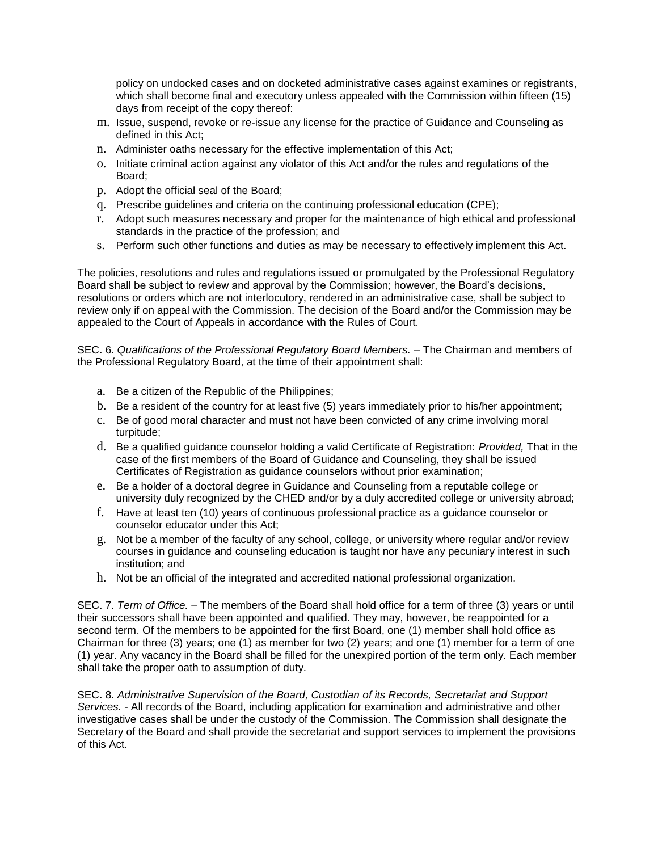policy on undocked cases and on docketed administrative cases against examines or registrants, which shall become final and executory unless appealed with the Commission within fifteen (15) days from receipt of the copy thereof:

- m. Issue, suspend, revoke or re-issue any license for the practice of Guidance and Counseling as defined in this Act;
- n. Administer oaths necessary for the effective implementation of this Act;
- o. Initiate criminal action against any violator of this Act and/or the rules and regulations of the Board;
- p. Adopt the official seal of the Board;
- q. Prescribe guidelines and criteria on the continuing professional education (CPE);
- r. Adopt such measures necessary and proper for the maintenance of high ethical and professional standards in the practice of the profession; and
- s. Perform such other functions and duties as may be necessary to effectively implement this Act.

The policies, resolutions and rules and regulations issued or promulgated by the Professional Regulatory Board shall be subject to review and approval by the Commission; however, the Board's decisions, resolutions or orders which are not interlocutory, rendered in an administrative case, shall be subject to review only if on appeal with the Commission. The decision of the Board and/or the Commission may be appealed to the Court of Appeals in accordance with the Rules of Court.

SEC. 6. *Qualifications of the Professional Regulatory Board Members. –* The Chairman and members of the Professional Regulatory Board, at the time of their appointment shall:

- a. Be a citizen of the Republic of the Philippines;
- b. Be a resident of the country for at least five (5) years immediately prior to his/her appointment;
- c. Be of good moral character and must not have been convicted of any crime involving moral turpitude;
- d. Be a qualified guidance counselor holding a valid Certificate of Registration: *Provided,* That in the case of the first members of the Board of Guidance and Counseling, they shall be issued Certificates of Registration as guidance counselors without prior examination;
- e. Be a holder of a doctoral degree in Guidance and Counseling from a reputable college or university duly recognized by the CHED and/or by a duly accredited college or university abroad;
- f. Have at least ten (10) years of continuous professional practice as a guidance counselor or counselor educator under this Act;
- g. Not be a member of the faculty of any school, college, or university where regular and/or review courses in guidance and counseling education is taught nor have any pecuniary interest in such institution; and
- h. Not be an official of the integrated and accredited national professional organization.

SEC. 7. *Term of Office. –* The members of the Board shall hold office for a term of three (3) years or until their successors shall have been appointed and qualified. They may, however, be reappointed for a second term. Of the members to be appointed for the first Board, one (1) member shall hold office as Chairman for three (3) years; one (1) as member for two (2) years; and one (1) member for a term of one (1) year. Any vacancy in the Board shall be filled for the unexpired portion of the term only. Each member shall take the proper oath to assumption of duty.

SEC. 8. *Administrative Supervision of the Board, Custodian of its Records, Secretariat and Support Services. -* All records of the Board, including application for examination and administrative and other investigative cases shall be under the custody of the Commission. The Commission shall designate the Secretary of the Board and shall provide the secretariat and support services to implement the provisions of this Act.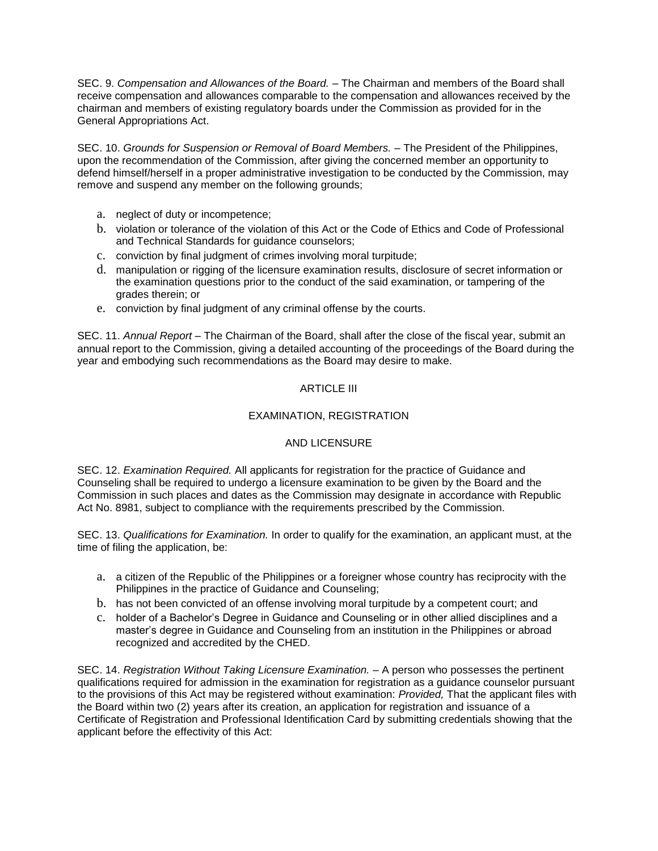SEC. 9. *Compensation and Allowances of the Board. –* The Chairman and members of the Board shall receive compensation and allowances comparable to the compensation and allowances received by the chairman and members of existing regulatory boards under the Commission as provided for in the General Appropriations Act.

SEC. 10. *Grounds for Suspension or Removal of Board Members. –* The President of the Philippines, upon the recommendation of the Commission, after giving the concerned member an opportunity to defend himself/herself in a proper administrative investigation to be conducted by the Commission, may remove and suspend any member on the following grounds;

- a. neglect of duty or incompetence;
- b. violation or tolerance of the violation of this Act or the Code of Ethics and Code of Professional and Technical Standards for guidance counselors;
- c. conviction by final judgment of crimes involving moral turpitude;
- d. manipulation or rigging of the licensure examination results, disclosure of secret information or the examination questions prior to the conduct of the said examination, or tampering of the grades therein; or
- e. conviction by final judgment of any criminal offense by the courts.

SEC. 11. *Annual Report –* The Chairman of the Board, shall after the close of the fiscal year, submit an annual report to the Commission, giving a detailed accounting of the proceedings of the Board during the year and embodying such recommendations as the Board may desire to make.

## ARTICLE III

# EXAMINATION, REGISTRATION

## AND LICENSURE

SEC. 12. *Examination Required.* All applicants for registration for the practice of Guidance and Counseling shall be required to undergo a licensure examination to be given by the Board and the Commission in such places and dates as the Commission may designate in accordance with Republic Act No. 8981, subject to compliance with the requirements prescribed by the Commission.

SEC. 13. *Qualifications for Examination.* In order to qualify for the examination, an applicant must, at the time of filing the application, be:

- a. a citizen of the Republic of the Philippines or a foreigner whose country has reciprocity with the Philippines in the practice of Guidance and Counseling;
- b. has not been convicted of an offense involving moral turpitude by a competent court; and
- c. holder of a Bachelor's Degree in Guidance and Counseling or in other allied disciplines and a master's degree in Guidance and Counseling from an institution in the Philippines or abroad recognized and accredited by the CHED.

SEC. 14. *Registration Without Taking Licensure Examination. –* A person who possesses the pertinent qualifications required for admission in the examination for registration as a guidance counselor pursuant to the provisions of this Act may be registered without examination: *Provided,* That the applicant files with the Board within two (2) years after its creation, an application for registration and issuance of a Certificate of Registration and Professional Identification Card by submitting credentials showing that the applicant before the effectivity of this Act: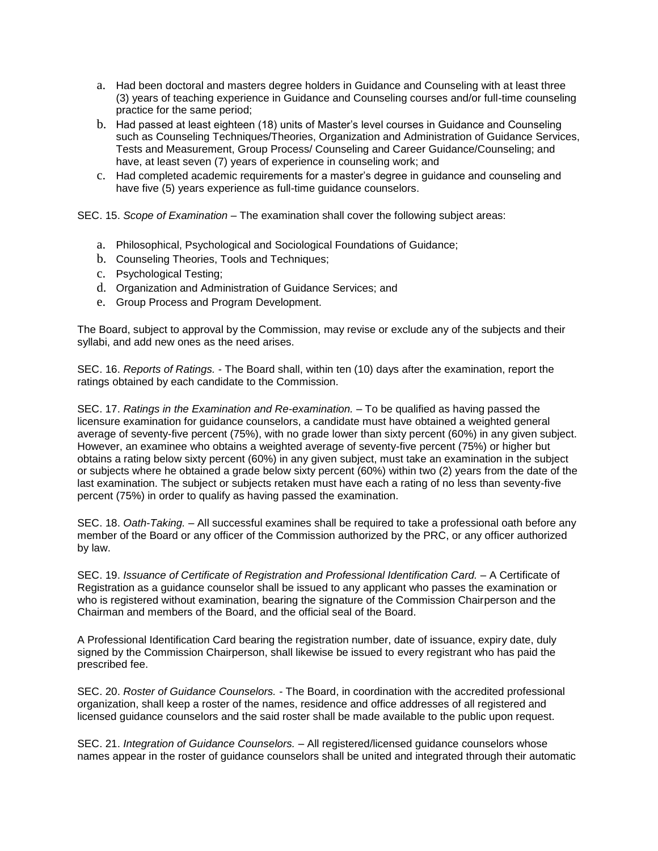- a. Had been doctoral and masters degree holders in Guidance and Counseling with at least three (3) years of teaching experience in Guidance and Counseling courses and/or full-time counseling practice for the same period;
- b. Had passed at least eighteen (18) units of Master's level courses in Guidance and Counseling such as Counseling Techniques/Theories, Organization and Administration of Guidance Services, Tests and Measurement, Group Process/ Counseling and Career Guidance/Counseling; and have, at least seven (7) years of experience in counseling work; and
- c. Had completed academic requirements for a master's degree in guidance and counseling and have five (5) years experience as full-time guidance counselors.

SEC. 15. *Scope of Examination –* The examination shall cover the following subject areas:

- a. Philosophical, Psychological and Sociological Foundations of Guidance;
- b. Counseling Theories, Tools and Techniques;
- c. Psychological Testing;
- d. Organization and Administration of Guidance Services; and
- e. Group Process and Program Development.

The Board, subject to approval by the Commission, may revise or exclude any of the subjects and their syllabi, and add new ones as the need arises.

SEC. 16. *Reports of Ratings.* - The Board shall, within ten (10) days after the examination, report the ratings obtained by each candidate to the Commission.

SEC. 17. *Ratings in the Examination and Re-examination. –* To be qualified as having passed the licensure examination for guidance counselors, a candidate must have obtained a weighted general average of seventy-five percent (75%), with no grade lower than sixty percent (60%) in any given subject. However, an examinee who obtains a weighted average of seventy-five percent (75%) or higher but obtains a rating below sixty percent (60%) in any given subject, must take an examination in the subject or subjects where he obtained a grade below sixty percent (60%) within two (2) years from the date of the last examination. The subject or subjects retaken must have each a rating of no less than seventy-five percent (75%) in order to qualify as having passed the examination.

SEC. 18. *Oath-Taking. –* All successful examines shall be required to take a professional oath before any member of the Board or any officer of the Commission authorized by the PRC, or any officer authorized by law.

SEC. 19. *Issuance of Certificate of Registration and Professional Identification Card. –* A Certificate of Registration as a guidance counselor shall be issued to any applicant who passes the examination or who is registered without examination, bearing the signature of the Commission Chairperson and the Chairman and members of the Board, and the official seal of the Board.

A Professional Identification Card bearing the registration number, date of issuance, expiry date, duly signed by the Commission Chairperson, shall likewise be issued to every registrant who has paid the prescribed fee.

SEC. 20. *Roster of Guidance Counselors. -* The Board, in coordination with the accredited professional organization, shall keep a roster of the names, residence and office addresses of all registered and licensed guidance counselors and the said roster shall be made available to the public upon request.

SEC. 21. *Integration of Guidance Counselors. –* All registered/licensed guidance counselors whose names appear in the roster of guidance counselors shall be united and integrated through their automatic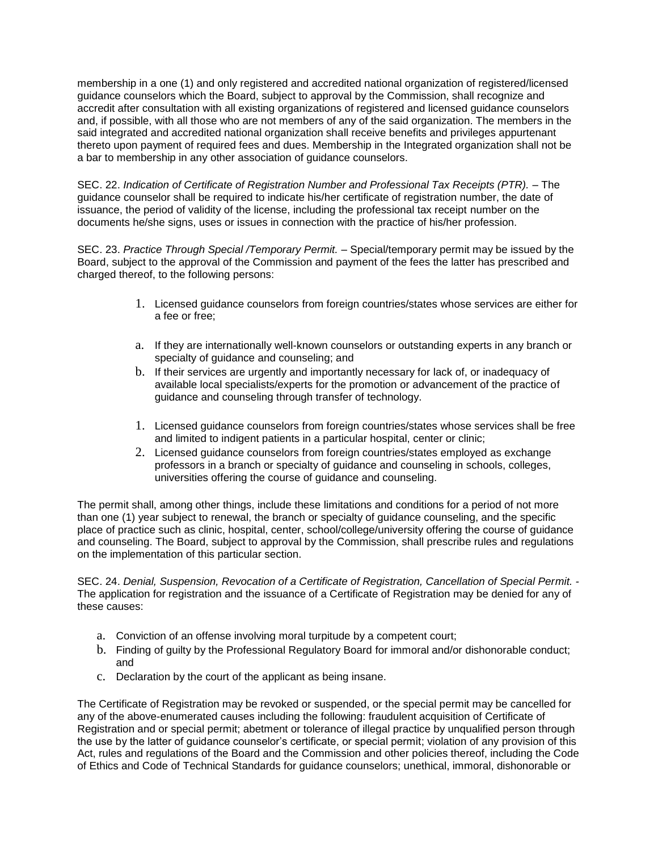membership in a one (1) and only registered and accredited national organization of registered/licensed guidance counselors which the Board, subject to approval by the Commission, shall recognize and accredit after consultation with all existing organizations of registered and licensed guidance counselors and, if possible, with all those who are not members of any of the said organization. The members in the said integrated and accredited national organization shall receive benefits and privileges appurtenant thereto upon payment of required fees and dues. Membership in the Integrated organization shall not be a bar to membership in any other association of guidance counselors.

SEC. 22. *Indication of Certificate of Registration Number and Professional Tax Receipts (PTR). –* The guidance counselor shall be required to indicate his/her certificate of registration number, the date of issuance, the period of validity of the license, including the professional tax receipt number on the documents he/she signs, uses or issues in connection with the practice of his/her profession.

SEC. 23. *Practice Through Special /Temporary Permit. –* Special/temporary permit may be issued by the Board, subject to the approval of the Commission and payment of the fees the latter has prescribed and charged thereof, to the following persons:

- 1. Licensed guidance counselors from foreign countries/states whose services are either for a fee or free;
- a. If they are internationally well-known counselors or outstanding experts in any branch or specialty of guidance and counseling; and
- b. If their services are urgently and importantly necessary for lack of, or inadequacy of available local specialists/experts for the promotion or advancement of the practice of guidance and counseling through transfer of technology.
- 1. Licensed guidance counselors from foreign countries/states whose services shall be free and limited to indigent patients in a particular hospital, center or clinic;
- 2. Licensed guidance counselors from foreign countries/states employed as exchange professors in a branch or specialty of guidance and counseling in schools, colleges, universities offering the course of guidance and counseling.

The permit shall, among other things, include these limitations and conditions for a period of not more than one (1) year subject to renewal, the branch or specialty of guidance counseling, and the specific place of practice such as clinic, hospital, center, school/college/university offering the course of guidance and counseling. The Board, subject to approval by the Commission, shall prescribe rules and regulations on the implementation of this particular section.

SEC. 24. *Denial, Suspension, Revocation of a Certificate of Registration, Cancellation of Special Permit. -* The application for registration and the issuance of a Certificate of Registration may be denied for any of these causes:

- a. Conviction of an offense involving moral turpitude by a competent court;
- b. Finding of guilty by the Professional Regulatory Board for immoral and/or dishonorable conduct; and
- c. Declaration by the court of the applicant as being insane.

The Certificate of Registration may be revoked or suspended, or the special permit may be cancelled for any of the above-enumerated causes including the following: fraudulent acquisition of Certificate of Registration and or special permit; abetment or tolerance of illegal practice by unqualified person through the use by the latter of guidance counselor's certificate, or special permit; violation of any provision of this Act, rules and regulations of the Board and the Commission and other policies thereof, including the Code of Ethics and Code of Technical Standards for guidance counselors; unethical, immoral, dishonorable or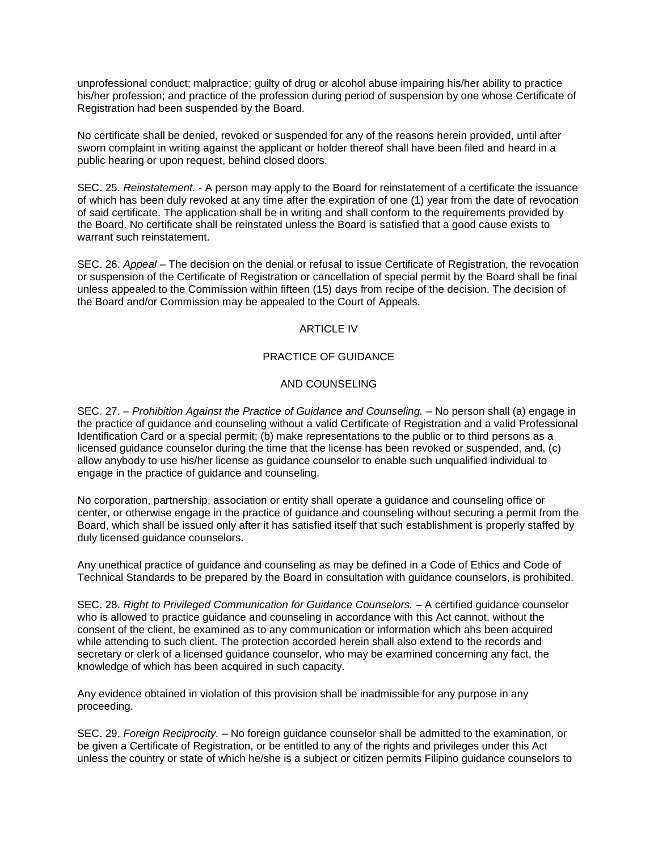unprofessional conduct; malpractice; guilty of drug or alcohol abuse impairing his/her ability to practice his/her profession; and practice of the profession during period of suspension by one whose Certificate of Registration had been suspended by the Board.

No certificate shall be denied, revoked or suspended for any of the reasons herein provided, until after sworn complaint in writing against the applicant or holder thereof shall have been filed and heard in a public hearing or upon request, behind closed doors.

SEC. 25. *Reinstatement. -* A person may apply to the Board for reinstatement of a certificate the issuance of which has been duly revoked at any time after the expiration of one (1) year from the date of revocation of said certificate. The application shall be in writing and shall conform to the requirements provided by the Board. No certificate shall be reinstated unless the Board is satisfied that a good cause exists to warrant such reinstatement.

SEC. 26. *Appeal –* The decision on the denial or refusal to issue Certificate of Registration, the revocation or suspension of the Certificate of Registration or cancellation of special permit by the Board shall be final unless appealed to the Commission within fifteen (15) days from recipe of the decision. The decision of the Board and/or Commission may be appealed to the Court of Appeals.

### ARTICLE IV

### PRACTICE OF GUIDANCE

## AND COUNSELING

SEC. 27. – *Prohibition Against the Practice of Guidance and Counseling. –* No person shall (a) engage in the practice of guidance and counseling without a valid Certificate of Registration and a valid Professional Identification Card or a special permit; (b) make representations to the public or to third persons as a licensed guidance counselor during the time that the license has been revoked or suspended, and, (c) allow anybody to use his/her license as guidance counselor to enable such unqualified individual to engage in the practice of guidance and counseling.

No corporation, partnership, association or entity shall operate a guidance and counseling office or center, or otherwise engage in the practice of guidance and counseling without securing a permit from the Board, which shall be issued only after it has satisfied itself that such establishment is properly staffed by duly licensed guidance counselors.

Any unethical practice of guidance and counseling as may be defined in a Code of Ethics and Code of Technical Standards to be prepared by the Board in consultation with guidance counselors, is prohibited.

SEC. 28. *Right to Privileged Communication for Guidance Counselors. –* A certified guidance counselor who is allowed to practice guidance and counseling in accordance with this Act cannot, without the consent of the client, be examined as to any communication or information which ahs been acquired while attending to such client. The protection accorded herein shall also extend to the records and secretary or clerk of a licensed guidance counselor, who may be examined concerning any fact, the knowledge of which has been acquired in such capacity.

Any evidence obtained in violation of this provision shall be inadmissible for any purpose in any proceeding.

SEC. 29. *Foreign Reciprocity.* – No foreign guidance counselor shall be admitted to the examination, or be given a Certificate of Registration, or be entitled to any of the rights and privileges under this Act unless the country or state of which he/she is a subject or citizen permits Filipino guidance counselors to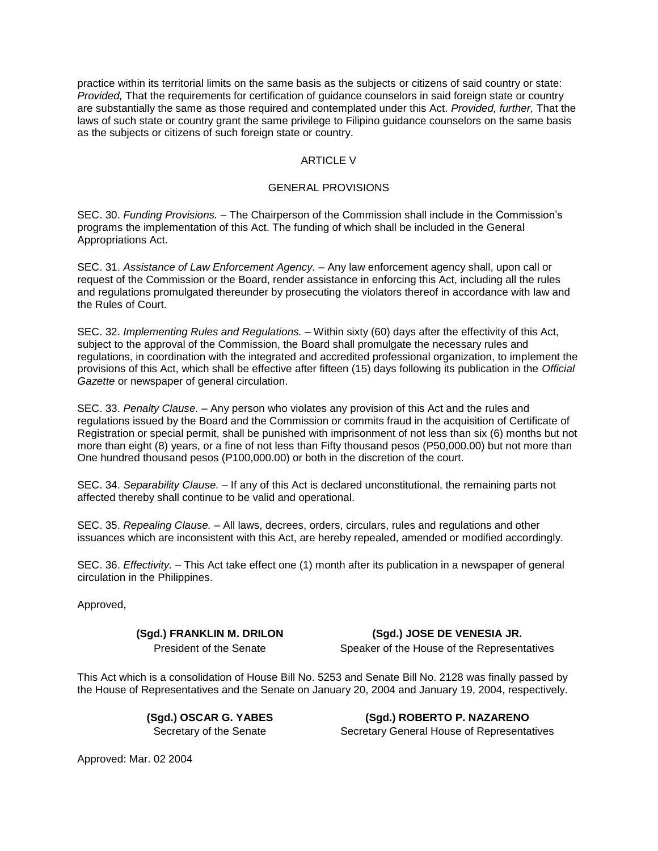practice within its territorial limits on the same basis as the subjects or citizens of said country or state: *Provided,* That the requirements for certification of guidance counselors in said foreign state or country are substantially the same as those required and contemplated under this Act. *Provided, further,* That the laws of such state or country grant the same privilege to Filipino guidance counselors on the same basis as the subjects or citizens of such foreign state or country.

## ARTICLE V

#### GENERAL PROVISIONS

SEC. 30. *Funding Provisions. –* The Chairperson of the Commission shall include in the Commission's programs the implementation of this Act. The funding of which shall be included in the General Appropriations Act.

SEC. 31. *Assistance of Law Enforcement Agency. –* Any law enforcement agency shall, upon call or request of the Commission or the Board, render assistance in enforcing this Act, including all the rules and regulations promulgated thereunder by prosecuting the violators thereof in accordance with law and the Rules of Court.

SEC. 32. *Implementing Rules and Regulations. –* Within sixty (60) days after the effectivity of this Act, subject to the approval of the Commission, the Board shall promulgate the necessary rules and regulations, in coordination with the integrated and accredited professional organization, to implement the provisions of this Act, which shall be effective after fifteen (15) days following its publication in the *Official Gazette* or newspaper of general circulation.

SEC. 33. *Penalty Clause. –* Any person who violates any provision of this Act and the rules and regulations issued by the Board and the Commission or commits fraud in the acquisition of Certificate of Registration or special permit, shall be punished with imprisonment of not less than six (6) months but not more than eight (8) years, or a fine of not less than Fifty thousand pesos (P50,000.00) but not more than One hundred thousand pesos (P100,000.00) or both in the discretion of the court.

SEC. 34. *Separability Clause. –* If any of this Act is declared unconstitutional, the remaining parts not affected thereby shall continue to be valid and operational.

SEC. 35. *Repealing Clause. –* All laws, decrees, orders, circulars, rules and regulations and other issuances which are inconsistent with this Act, are hereby repealed, amended or modified accordingly.

SEC. 36. *Effectivity. –* This Act take effect one (1) month after its publication in a newspaper of general circulation in the Philippines.

Approved,

**(Sgd.) FRANKLIN M. DRILON (Sgd.) JOSE DE VENESIA JR.**

President of the Senate Speaker of the House of the Representatives

This Act which is a consolidation of House Bill No. 5253 and Senate Bill No. 2128 was finally passed by the House of Representatives and the Senate on January 20, 2004 and January 19, 2004, respectively.

**(Sgd.) OSCAR G. YABES (Sgd.) ROBERTO P. NAZARENO** Secretary of the Senate Secretary General House of Representatives

Approved: Mar. 02 2004